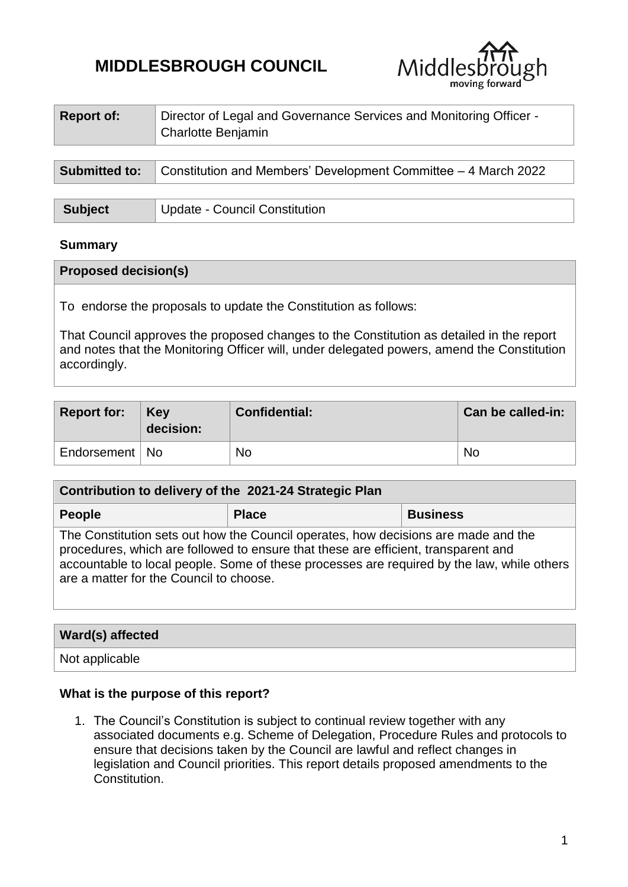# **MIDDLESBROUGH COUNCIL**



| <b>Report of:</b>    | Director of Legal and Governance Services and Monitoring Officer -<br>Charlotte Benjamin |
|----------------------|------------------------------------------------------------------------------------------|
| <b>Submitted to:</b> | Constitution and Members' Development Committee - 4 March 2022                           |
|                      |                                                                                          |

| <b>Subject</b> | Update - Council Constitution |
|----------------|-------------------------------|
|----------------|-------------------------------|

## **Summary**

#### **Proposed decision(s)**

To endorse the proposals to update the Constitution as follows:

That Council approves the proposed changes to the Constitution as detailed in the report and notes that the Monitoring Officer will, under delegated powers, amend the Constitution accordingly.

| <b>Report for:</b> | Key<br>decision: | Confidential: | Can be called-in: |
|--------------------|------------------|---------------|-------------------|
| Endorsement   No   |                  | <b>No</b>     | No                |

| Contribution to delivery of the 2021-24 Strategic Plan                                                                                                                                                                                                                                                            |              |                 |  |  |  |  |
|-------------------------------------------------------------------------------------------------------------------------------------------------------------------------------------------------------------------------------------------------------------------------------------------------------------------|--------------|-----------------|--|--|--|--|
| <b>People</b>                                                                                                                                                                                                                                                                                                     | <b>Place</b> | <b>Business</b> |  |  |  |  |
| The Constitution sets out how the Council operates, how decisions are made and the<br>procedures, which are followed to ensure that these are efficient, transparent and<br>accountable to local people. Some of these processes are required by the law, while others<br>are a matter for the Council to choose. |              |                 |  |  |  |  |

| Ward(s) affected |  |
|------------------|--|
| Not applicable   |  |

#### **What is the purpose of this report?**

1. The Council's Constitution is subject to continual review together with any associated documents e.g. Scheme of Delegation, Procedure Rules and protocols to ensure that decisions taken by the Council are lawful and reflect changes in legislation and Council priorities. This report details proposed amendments to the Constitution.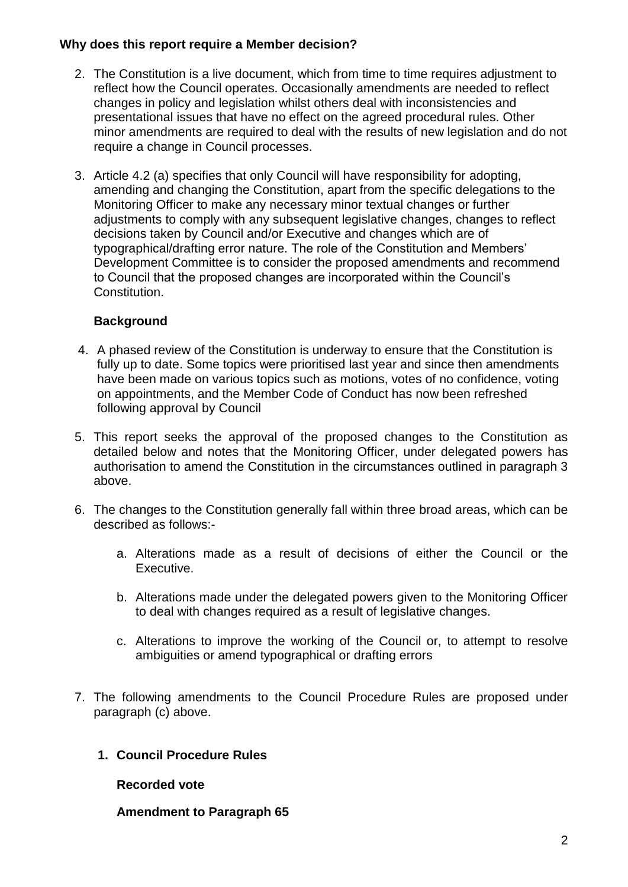# **Why does this report require a Member decision?**

- 2. The Constitution is a live document, which from time to time requires adjustment to reflect how the Council operates. Occasionally amendments are needed to reflect changes in policy and legislation whilst others deal with inconsistencies and presentational issues that have no effect on the agreed procedural rules. Other minor amendments are required to deal with the results of new legislation and do not require a change in Council processes.
- 3. Article 4.2 (a) specifies that only Council will have responsibility for adopting, amending and changing the Constitution, apart from the specific delegations to the Monitoring Officer to make any necessary minor textual changes or further adjustments to comply with any subsequent legislative changes, changes to reflect decisions taken by Council and/or Executive and changes which are of typographical/drafting error nature. The role of the Constitution and Members' Development Committee is to consider the proposed amendments and recommend to Council that the proposed changes are incorporated within the Council's Constitution.

# **Background**

- 4. A phased review of the Constitution is underway to ensure that the Constitution is fully up to date. Some topics were prioritised last year and since then amendments have been made on various topics such as motions, votes of no confidence, voting on appointments, and the Member Code of Conduct has now been refreshed following approval by Council
- 5. This report seeks the approval of the proposed changes to the Constitution as detailed below and notes that the Monitoring Officer, under delegated powers has authorisation to amend the Constitution in the circumstances outlined in paragraph 3 above.
- 6. The changes to the Constitution generally fall within three broad areas, which can be described as follows:
	- a. Alterations made as a result of decisions of either the Council or the Executive.
	- b. Alterations made under the delegated powers given to the Monitoring Officer to deal with changes required as a result of legislative changes.
	- c. Alterations to improve the working of the Council or, to attempt to resolve ambiguities or amend typographical or drafting errors
- 7. The following amendments to the Council Procedure Rules are proposed under paragraph (c) above.
	- **1. Council Procedure Rules**

**Recorded vote**

**Amendment to Paragraph 65**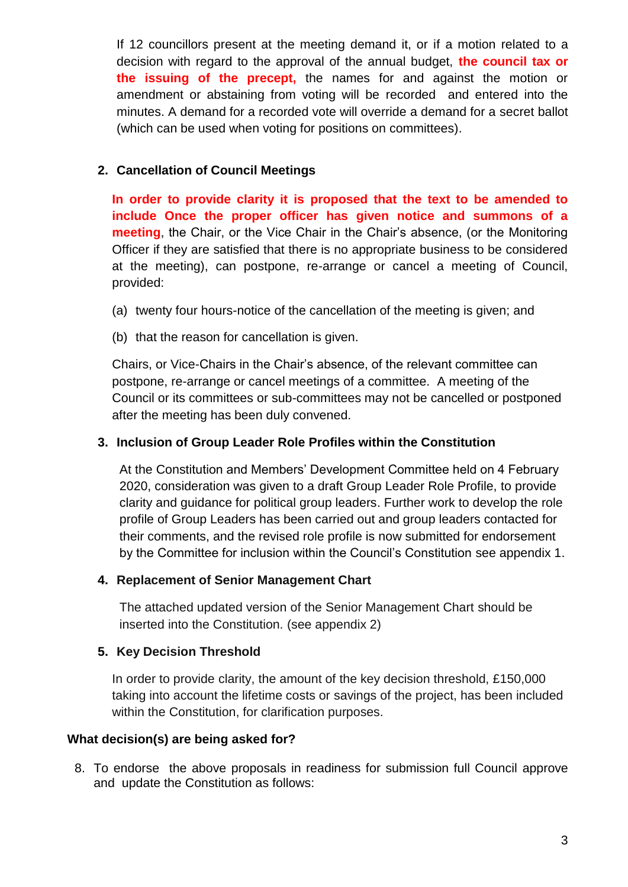If 12 councillors present at the meeting demand it, or if a motion related to a decision with regard to the approval of the annual budget, **the council tax or the issuing of the precept,** the names for and against the motion or amendment or abstaining from voting will be recorded and entered into the minutes. A demand for a recorded vote will override a demand for a secret ballot (which can be used when voting for positions on committees).

# **2. Cancellation of Council Meetings**

**In order to provide clarity it is proposed that the text to be amended to include Once the proper officer has given notice and summons of a meeting**, the Chair, or the Vice Chair in the Chair's absence, (or the Monitoring Officer if they are satisfied that there is no appropriate business to be considered at the meeting), can postpone, re-arrange or cancel a meeting of Council, provided:

- (a) twenty four hours-notice of the cancellation of the meeting is given; and
- (b) that the reason for cancellation is given.

Chairs, or Vice-Chairs in the Chair's absence, of the relevant committee can postpone, re-arrange or cancel meetings of a committee. A meeting of the Council or its committees or sub-committees may not be cancelled or postponed after the meeting has been duly convened.

## **3. Inclusion of Group Leader Role Profiles within the Constitution**

At the Constitution and Members' Development Committee held on 4 February 2020, consideration was given to a draft Group Leader Role Profile, to provide clarity and guidance for political group leaders. Further work to develop the role profile of Group Leaders has been carried out and group leaders contacted for their comments, and the revised role profile is now submitted for endorsement by the Committee for inclusion within the Council's Constitution see appendix 1.

#### **4. Replacement of Senior Management Chart**

The attached updated version of the Senior Management Chart should be inserted into the Constitution. (see appendix 2)

# **5. Key Decision Threshold**

In order to provide clarity, the amount of the key decision threshold, £150,000 taking into account the lifetime costs or savings of the project, has been included within the Constitution, for clarification purposes.

#### **What decision(s) are being asked for?**

8. To endorse the above proposals in readiness for submission full Council approve and update the Constitution as follows: